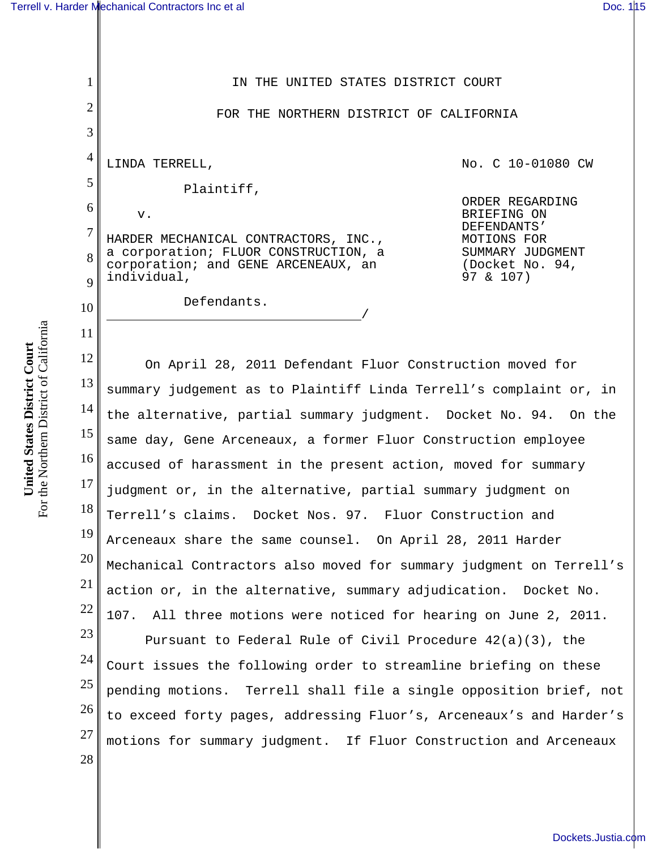1

2

3

10

11

28

IN THE UNITED STATES DISTRICT COURT

FOR THE NORTHERN DISTRICT OF CALIFORNIA

4 5 6 7 8 9 LINDA TERRELL, Plaintiff, v. HARDER MECHANICAL CONTRACTORS, INC., a corporation; FLUOR CONSTRUCTION, a corporation; and GENE ARCENEAUX, an individual,

Defendants.

No. C 10-01080 CW

ORDER REGARDING BRIEFING ON DEFENDANTS' MOTIONS FOR SUMMARY JUDGMENT (Docket No. 94, 97 & 107)

12 13 14 15 16 17 18 19 20 21 22 23 24 25 26 27 On April 28, 2011 Defendant Fluor Construction moved for summary judgement as to Plaintiff Linda Terrell's complaint or, in the alternative, partial summary judgment. Docket No. 94. On the same day, Gene Arceneaux, a former Fluor Construction employee accused of harassment in the present action, moved for summary judgment or, in the alternative, partial summary judgment on Terrell's claims. Docket Nos. 97. Fluor Construction and Arceneaux share the same counsel. On April 28, 2011 Harder Mechanical Contractors also moved for summary judgment on Terrell's action or, in the alternative, summary adjudication. Docket No. 107. All three motions were noticed for hearing on June 2, 2011. Pursuant to Federal Rule of Civil Procedure 42(a)(3), the Court issues the following order to streamline briefing on these pending motions. Terrell shall file a single opposition brief, not to exceed forty pages, addressing Fluor's, Arceneaux's and Harder's motions for summary judgment. If Fluor Construction and Arceneaux